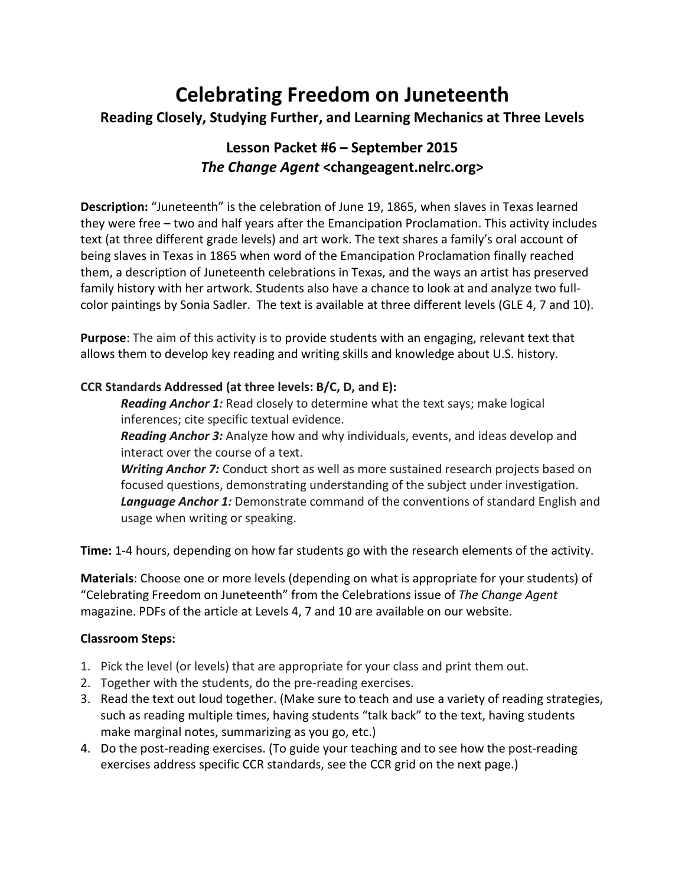# **Celebrating Freedom on Juneteenth Reading Closely, Studying Further, and Learning Mechanics at Three Levels**

## **Lesson Packet #6 – September 2015** *The Change Agent* **<changeagent.nelrc.org>**

**Description:** "Juneteenth" is the celebration of June 19, 1865, when slaves in Texas learned they were free – two and half years after the Emancipation Proclamation. This activity includes text (at three different grade levels) and art work. The text shares a family's oral account of being slaves in Texas in 1865 when word of the Emancipation Proclamation finally reached them, a description of Juneteenth celebrations in Texas, and the ways an artist has preserved family history with her artwork. Students also have a chance to look at and analyze two fullcolor paintings by Sonia Sadler. The text is available at three different levels (GLE 4, 7 and 10).

**Purpose**: The aim of this activity is to provide students with an engaging, relevant text that allows them to develop key reading and writing skills and knowledge about U.S. history.

#### **CCR Standards Addressed (at three levels: B/C, D, and E):**

*Reading Anchor 1:* Read closely to determine what the text says; make logical inferences; cite specific textual evidence.

*Reading Anchor 3:* Analyze how and why individuals, events, and ideas develop and interact over the course of a text.

*Writing Anchor 7:* Conduct short as well as more sustained research projects based on focused questions, demonstrating understanding of the subject under investigation. *Language Anchor 1:* Demonstrate command of the conventions of standard English and usage when writing or speaking.

**Time:** 1-4 hours, depending on how far students go with the research elements of the activity.

**Materials**: Choose one or more levels (depending on what is appropriate for your students) of "Celebrating Freedom on Juneteenth" from the Celebrations issue of *The Change Agent* magazine. PDFs of the article at Levels 4, 7 and 10 are available on our website.

#### **Classroom Steps:**

- 1. Pick the level (or levels) that are appropriate for your class and print them out.
- 2. Together with the students, do the pre-reading exercises.
- 3. Read the text out loud together. (Make sure to teach and use a variety of reading strategies, such as reading multiple times, having students "talk back" to the text, having students make marginal notes, summarizing as you go, etc.)
- 4. Do the post-reading exercises. (To guide your teaching and to see how the post-reading exercises address specific CCR standards, see the CCR grid on the next page.)